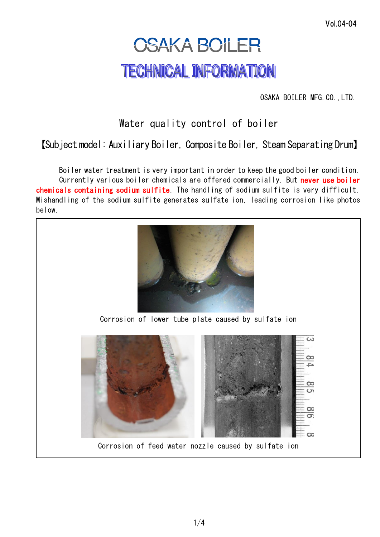## **OSAKA BOILER TECHNICAL INFORMATION**

OSAKA BOILER MFG.CO.,LTD.

## Water quality control of boiler

【Subject model: Auxiliary Boiler, Composite Boiler, Steam Separating Drum】

Boiler water treatment is very important in order to keep the good boiler condition. Currently various boiler chemicals are offered commercially. But never use boiler chemicals containing sodium sulfite. The handling of sodium sulfite is very difficult. Mishandling of the sodium sulfite generates sulfate ion, leading corrosion like photos below.



Corrosion of lower tube plate caused by sulfate ion



Corrosion of feed water nozzle caused by sulfate ion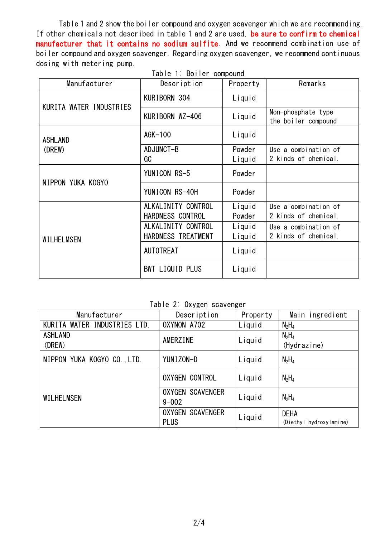Table 1 and 2 show the boiler compound and oxygen scavenger which we are recommending. If other chemicals not described in table 1 and 2 are used, be sure to confirm to chemical manufacturer that it contains no sodium sulfite. And we recommend combination use of boiler compound and oxygen scavenger. Regarding oxygen scavenger, we recommend continuous dosing with metering pump.

Table 1: Boiler compound

| Manufacturer            | Description        | Property | Remarks                                   |
|-------------------------|--------------------|----------|-------------------------------------------|
| KURITA WATER INDUSTRIES | KURIBORN 304       | Liquid   |                                           |
|                         | KURIBORN WZ-406    | Liquid   | Non-phosphate type<br>the boiler compound |
| <b>ASHLAND</b>          | $AGK-100$          | Liquid   |                                           |
| (DREW)                  | ADJUNCT-B          | Powder   | Use a combination of                      |
|                         | GC                 | Liquid   | 2 kinds of chemical.                      |
| NIPPON YUKA KOGYO       | YUNICON RS-5       | Powder   |                                           |
|                         | YUNICON RS-40H     | Powder   |                                           |
|                         | ALKALINITY CONTROL | Liquid   | Use a combination of                      |
| WILHELMSEN              | HARDNESS CONTROL   | Powder   | 2 kinds of chemical.                      |
|                         | ALKALINITY CONTROL | Liquid   | Use a combination of                      |
|                         | HARDNESS TREATMENT | Liquid   | 2 kinds of chemical.                      |
|                         | <b>AUTOTREAT</b>   | Liquid   |                                           |
|                         | BWT LIQUID PLUS    | Liquid   |                                           |

Table 2: Oxygen scavenger

| Manufacturer                 | Description                            | Property | Main ingredient                        |
|------------------------------|----------------------------------------|----------|----------------------------------------|
| KURITA WATER INDUSTRIES LTD. | OXYNON A702                            | Liquid   | $N_2H_4$                               |
| <b>ASHLAND</b><br>(DREW)     | AMERZINE                               | Liquid   | $N_2H_4$<br>(Hydrazine)                |
| NIPPON YUKA KOGYO CO., LTD.  | YUNIZON-D                              | Liquid   | $N_2H_4$                               |
| WILHELMSEN                   | <b>OXYGEN CONTROL</b>                  | Liquid   | $N_2H_4$                               |
|                              | <b>OXYGEN SCAVENGER</b><br>$9 - 002$   | Liquid   | $N_2H_4$                               |
|                              | <b>OXYGEN SCAVENGER</b><br><b>PLUS</b> | Liquid   | <b>DEHA</b><br>(Diethyl hydroxylamine) |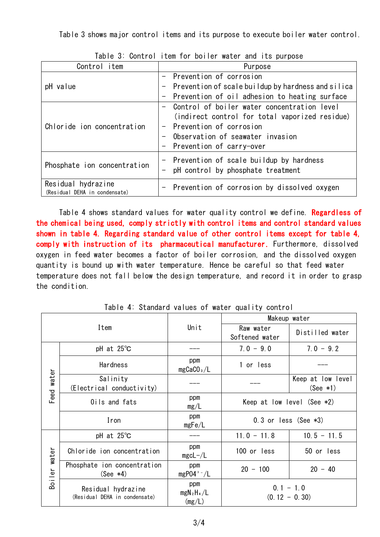Table 3 shows major control items and its purpose to execute boiler water control.

| VOITET OF FEDITION NOTION MACOI AND TEO MAINOOD      |  |  |  |  |
|------------------------------------------------------|--|--|--|--|
| Purpose                                              |  |  |  |  |
| - Prevention of corrosion                            |  |  |  |  |
| - Prevention of scale buildup by hardness and silica |  |  |  |  |
| - Prevention of oil adhesion to heating surface      |  |  |  |  |
| Control of boiler water concentration level          |  |  |  |  |
| (indirect control for total vaporized residue)       |  |  |  |  |
| - Prevention of corrosion                            |  |  |  |  |
| Observation of seawater invasion                     |  |  |  |  |
| - Prevention of carry-over                           |  |  |  |  |
| - Prevention of scale buildup by hardness            |  |  |  |  |
| - pH control by phosphate treatment                  |  |  |  |  |
|                                                      |  |  |  |  |
| - Prevention of corrosion by dissolved oxygen        |  |  |  |  |
|                                                      |  |  |  |  |

Table 3: Control item for boiler water and its purpose

Table 4 shows standard values for water quality control we define. Regardless of the chemical being used, comply strictly with control items and control standard values shown in table 4. Regarding standard value of other control items except for table 4, comply with instruction of its pharmaceutical manufacturer. Furthermore, dissolved oxygen in feed water becomes a factor of boiler corrosion, and the dissolved oxygen quantity is bound up with water temperature. Hence be careful so that feed water temperature does not fall below the design temperature, and record it in order to grasp the condition.

| Item          |                                                     | Unit                          | Makeup water                   |                                 |
|---------------|-----------------------------------------------------|-------------------------------|--------------------------------|---------------------------------|
|               |                                                     |                               | Raw water<br>Softened water    | Distilled water                 |
| water<br>Feed | pH at $25^{\circ}$ C                                |                               | $7.0 - 9.0$                    | $7.0 - 9.2$                     |
|               | Hardness                                            | ppm<br>mgCaCO <sub>3</sub> /L | 1 or less                      |                                 |
|               | Salinity<br>(Electrical conductivity)               |                               |                                | Keep at low level<br>$(See *1)$ |
|               | Oils and fats                                       | ppm<br>mg/L                   | Keep at low level (See $*2$ )  |                                 |
|               | Iron                                                | ppm<br>mgFe/L                 | $0.3$ or less (See $*3$ )      |                                 |
| Boiler water  | pH at $25^{\circ}$ C                                |                               | $11.0 - 11.8$                  | $10.5 - 11.5$                   |
|               | Chloride ion concentration                          | ppm<br>$mgcL-/L$              | 100 or less                    | 50 or less                      |
|               | Phosphate ion concentration<br>$(See *4)$           | ppm<br>$mgP04 - / L$          | $20 - 100$                     | $20 - 40$                       |
|               | Residual hydrazine<br>(Residual DEHA in condensate) | ppm<br>$mgN_2H_4/L$<br>(mg/L) | $0.1 - 1.0$<br>$(0.12 - 0.30)$ |                                 |

Table 4: Standard values of water quality control